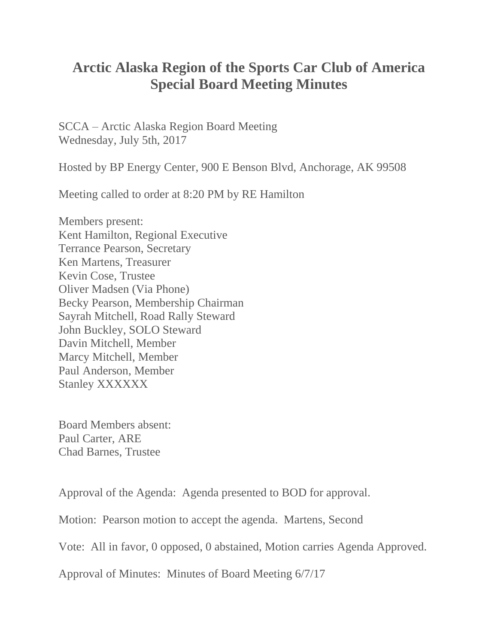## **Arctic Alaska Region of the Sports Car Club of America Special Board Meeting Minutes**

SCCA – Arctic Alaska Region Board Meeting Wednesday, July 5th, 2017

Hosted by BP Energy Center, 900 E Benson Blvd, Anchorage, AK 99508

Meeting called to order at 8:20 PM by RE Hamilton

Members present: Kent Hamilton, Regional Executive Terrance Pearson, Secretary Ken Martens, Treasurer Kevin Cose, Trustee Oliver Madsen (Via Phone) Becky Pearson, Membership Chairman Sayrah Mitchell, Road Rally Steward John Buckley, SOLO Steward Davin Mitchell, Member Marcy Mitchell, Member Paul Anderson, Member Stanley XXXXXX

Board Members absent: Paul Carter, ARE Chad Barnes, Trustee

Approval of the Agenda: Agenda presented to BOD for approval.

Motion: Pearson motion to accept the agenda. Martens, Second

Vote: All in favor, 0 opposed, 0 abstained, Motion carries Agenda Approved.

Approval of Minutes: Minutes of Board Meeting 6/7/17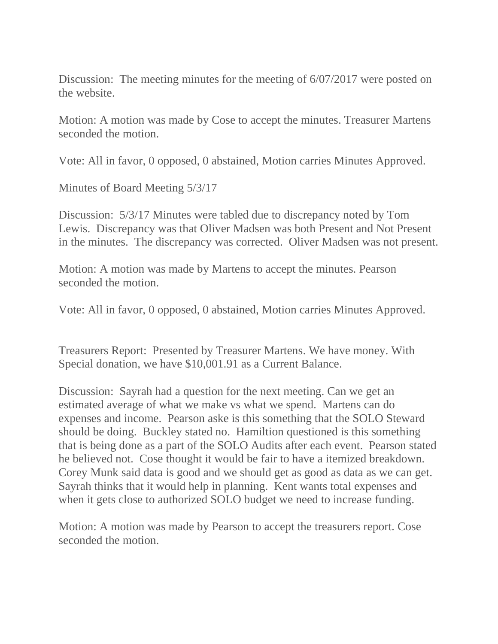Discussion: The meeting minutes for the meeting of  $6/07/2017$  were posted on the website.

Motion: A motion was made by Cose to accept the minutes. Treasurer Martens seconded the motion.

Vote: All in favor, 0 opposed, 0 abstained, Motion carries Minutes Approved.

Minutes of Board Meeting 5/3/17

Discussion: 5/3/17 Minutes were tabled due to discrepancy noted by Tom Lewis. Discrepancy was that Oliver Madsen was both Present and Not Present in the minutes. The discrepancy was corrected. Oliver Madsen was not present.

Motion: A motion was made by Martens to accept the minutes. Pearson seconded the motion.

Vote: All in favor, 0 opposed, 0 abstained, Motion carries Minutes Approved.

Treasurers Report: Presented by Treasurer Martens. We have money. With Special donation, we have \$10,001.91 as a Current Balance.

Discussion: Sayrah had a question for the next meeting. Can we get an estimated average of what we make vs what we spend. Martens can do expenses and income. Pearson aske is this something that the SOLO Steward should be doing. Buckley stated no. Hamiltion questioned is this something that is being done as a part of the SOLO Audits after each event. Pearson stated he believed not. Cose thought it would be fair to have a itemized breakdown. Corey Munk said data is good and we should get as good as data as we can get. Sayrah thinks that it would help in planning. Kent wants total expenses and when it gets close to authorized SOLO budget we need to increase funding.

Motion: A motion was made by Pearson to accept the treasurers report. Cose seconded the motion.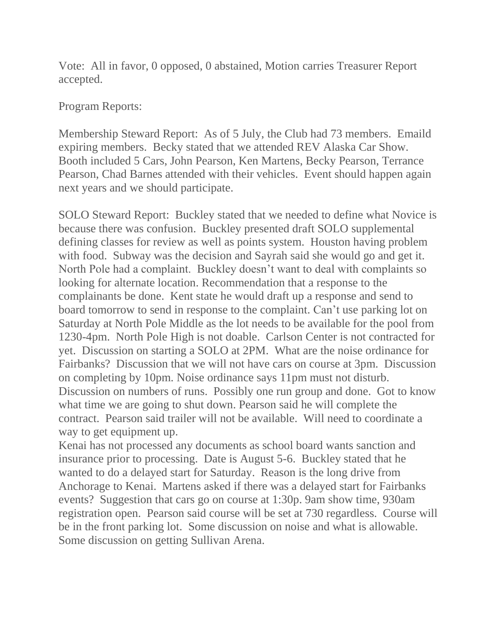Vote: All in favor, 0 opposed, 0 abstained, Motion carries Treasurer Report accepted.

## Program Reports:

Membership Steward Report: As of 5 July, the Club had 73 members. Emaild expiring members. Becky stated that we attended REV Alaska Car Show. Booth included 5 Cars, John Pearson, Ken Martens, Becky Pearson, Terrance Pearson, Chad Barnes attended with their vehicles. Event should happen again next years and we should participate.

SOLO Steward Report: Buckley stated that we needed to define what Novice is because there was confusion. Buckley presented draft SOLO supplemental defining classes for review as well as points system. Houston having problem with food. Subway was the decision and Sayrah said she would go and get it. North Pole had a complaint. Buckley doesn't want to deal with complaints so looking for alternate location. Recommendation that a response to the complainants be done. Kent state he would draft up a response and send to board tomorrow to send in response to the complaint. Can't use parking lot on Saturday at North Pole Middle as the lot needs to be available for the pool from 1230-4pm. North Pole High is not doable. Carlson Center is not contracted for yet. Discussion on starting a SOLO at 2PM. What are the noise ordinance for Fairbanks? Discussion that we will not have cars on course at 3pm. Discussion on completing by 10pm. Noise ordinance says 11pm must not disturb. Discussion on numbers of runs. Possibly one run group and done. Got to know what time we are going to shut down. Pearson said he will complete the contract. Pearson said trailer will not be available. Will need to coordinate a way to get equipment up.

Kenai has not processed any documents as school board wants sanction and insurance prior to processing. Date is August 5-6. Buckley stated that he wanted to do a delayed start for Saturday. Reason is the long drive from Anchorage to Kenai. Martens asked if there was a delayed start for Fairbanks events? Suggestion that cars go on course at 1:30p. 9am show time, 930am registration open. Pearson said course will be set at 730 regardless. Course will be in the front parking lot. Some discussion on noise and what is allowable. Some discussion on getting Sullivan Arena.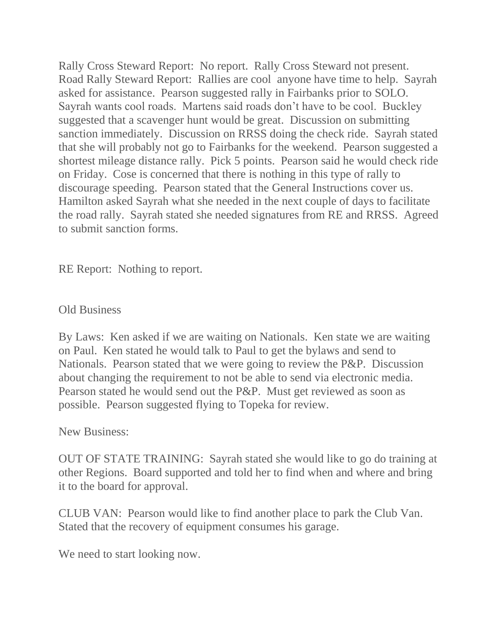Rally Cross Steward Report: No report. Rally Cross Steward not present. Road Rally Steward Report: Rallies are cool anyone have time to help. Sayrah asked for assistance. Pearson suggested rally in Fairbanks prior to SOLO. Sayrah wants cool roads. Martens said roads don't have to be cool. Buckley suggested that a scavenger hunt would be great. Discussion on submitting sanction immediately. Discussion on RRSS doing the check ride. Sayrah stated that she will probably not go to Fairbanks for the weekend. Pearson suggested a shortest mileage distance rally. Pick 5 points. Pearson said he would check ride on Friday. Cose is concerned that there is nothing in this type of rally to discourage speeding. Pearson stated that the General Instructions cover us. Hamilton asked Sayrah what she needed in the next couple of days to facilitate the road rally. Sayrah stated she needed signatures from RE and RRSS. Agreed to submit sanction forms.

RE Report: Nothing to report.

## Old Business

By Laws: Ken asked if we are waiting on Nationals. Ken state we are waiting on Paul. Ken stated he would talk to Paul to get the bylaws and send to Nationals. Pearson stated that we were going to review the P&P. Discussion about changing the requirement to not be able to send via electronic media. Pearson stated he would send out the P&P. Must get reviewed as soon as possible. Pearson suggested flying to Topeka for review.

New Business:

OUT OF STATE TRAINING: Sayrah stated she would like to go do training at other Regions. Board supported and told her to find when and where and bring it to the board for approval.

CLUB VAN: Pearson would like to find another place to park the Club Van. Stated that the recovery of equipment consumes his garage.

We need to start looking now.